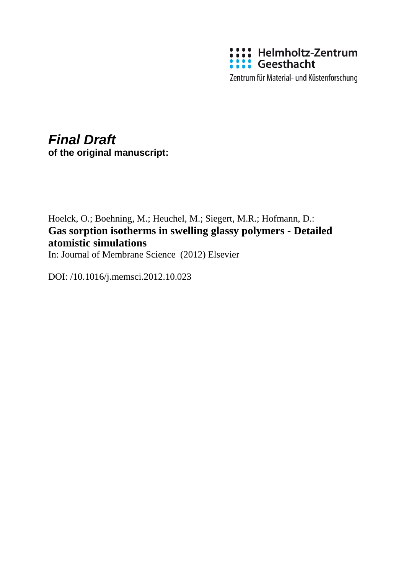

Zentrum für Material- und Küstenforschung

# *Final Draft* **of the original manuscript:**

Hoelck, O.; Boehning, M.; Heuchel, M.; Siegert, M.R.; Hofmann, D.: **Gas sorption isotherms in swelling glassy polymers - Detailed atomistic simulations** In: Journal of Membrane Science (2012) Elsevier

DOI: /10.1016/j.memsci.2012.10.023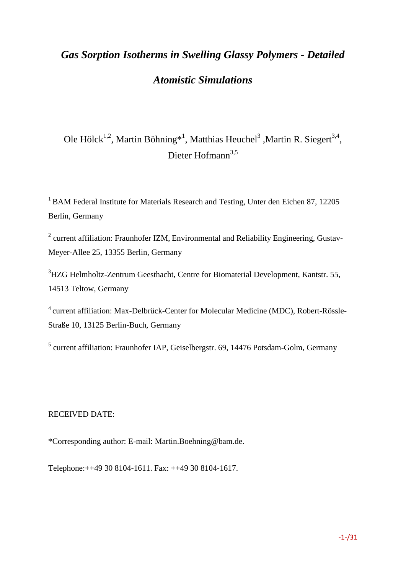# *Gas Sorption Isotherms in Swelling Glassy Polymers - Detailed Atomistic Simulations*

Ole Hölck<sup>1,2</sup>, Martin Böhning<sup>\*1</sup>, Matthias Heuchel<sup>3</sup>, Martin R. Siegert<sup>3,4</sup>, Dieter Hofmann<sup>3,5</sup>

<sup>1</sup> BAM Federal Institute for Materials Research and Testing, Unter den Eichen 87, 12205 Berlin, Germany

 $2$  current affiliation: Fraunhofer IZM, Environmental and Reliability Engineering, Gustav-Meyer-Allee 25, 13355 Berlin, Germany

<sup>3</sup>HZG Helmholtz-Zentrum Geesthacht, Centre for Biomaterial Development, Kantstr. 55, 14513 Teltow, Germany

4 current affiliation: Max-Delbrück-Center for Molecular Medicine (MDC), Robert-Rössle-Straße 10, 13125 Berlin-Buch, Germany

<sup>5</sup> current affiliation: Fraunhofer IAP, Geiselbergstr. 69, 14476 Potsdam-Golm, Germany

#### RECEIVED DATE:

\*Corresponding author: E-mail: Martin.Boehning@bam.de.

Telephone:++49 30 8104-1611. Fax: ++49 30 8104-1617.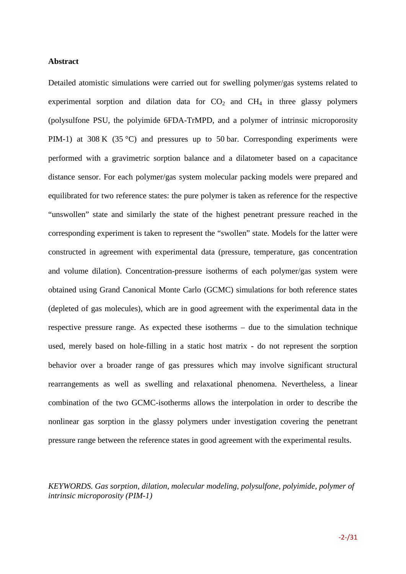#### **Abstract**

Detailed atomistic simulations were carried out for swelling polymer/gas systems related to experimental sorption and dilation data for  $CO<sub>2</sub>$  and  $CH<sub>4</sub>$  in three glassy polymers (polysulfone PSU, the polyimide 6FDA-TrMPD, and a polymer of intrinsic microporosity PIM-1) at 308 K (35 °C) and pressures up to 50 bar. Corresponding experiments were performed with a gravimetric sorption balance and a dilatometer based on a capacitance distance sensor. For each polymer/gas system molecular packing models were prepared and equilibrated for two reference states: the pure polymer is taken as reference for the respective "unswollen" state and similarly the state of the highest penetrant pressure reached in the corresponding experiment is taken to represent the "swollen" state. Models for the latter were constructed in agreement with experimental data (pressure, temperature, gas concentration and volume dilation). Concentration-pressure isotherms of each polymer/gas system were obtained using Grand Canonical Monte Carlo (GCMC) simulations for both reference states (depleted of gas molecules), which are in good agreement with the experimental data in the respective pressure range. As expected these isotherms – due to the simulation technique used, merely based on hole-filling in a static host matrix - do not represent the sorption behavior over a broader range of gas pressures which may involve significant structural rearrangements as well as swelling and relaxational phenomena. Nevertheless, a linear combination of the two GCMC-isotherms allows the interpolation in order to describe the nonlinear gas sorption in the glassy polymers under investigation covering the penetrant pressure range between the reference states in good agreement with the experimental results.

*KEYWORDS. Gas sorption, dilation, molecular modeling, polysulfone, polyimide, polymer of intrinsic microporosity (PIM-1)*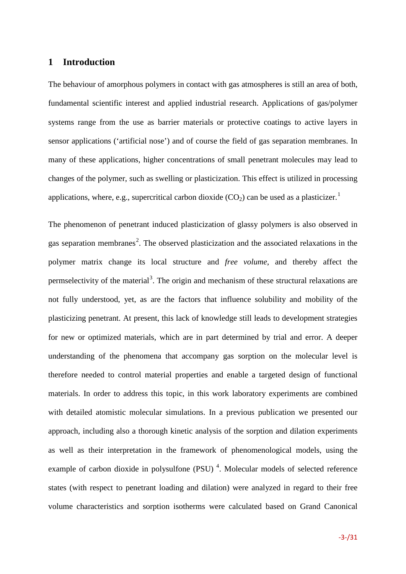#### **1 Introduction**

The behaviour of amorphous polymers in contact with gas atmospheres is still an area of both, fundamental scientific interest and applied industrial research. Applications of gas/polymer systems range from the use as barrier materials or protective coatings to active layers in sensor applications ('artificial nose') and of course the field of gas separation membranes. In many of these applications, higher concentrations of small penetrant molecules may lead to changes of the polymer, such as swelling or plasticization. This effect is utilized in processing applications, where, e.g., supercritical carbon dioxide  $(CO<sub>2</sub>)$  can be used as a plasticizer.<sup>[1](#page-29-0)</sup>

<span id="page-3-1"></span><span id="page-3-0"></span>The phenomenon of penetrant induced plasticization of glassy polymers is also observed in gas separation membranes<sup>[2](#page-29-1)</sup>. The observed plasticization and the associated relaxations in the polymer matrix change its local structure and *free volume*, and thereby affect the permselectivity of the material<sup>[3](#page-29-2)</sup>. The origin and mechanism of these structural relaxations are not fully understood, yet, as are the factors that influence solubility and mobility of the plasticizing penetrant. At present, this lack of knowledge still leads to development strategies for new or optimized materials, which are in part determined by trial and error. A deeper understanding of the phenomena that accompany gas sorption on the molecular level is therefore needed to control material properties and enable a targeted design of functional materials. In order to address this topic, in this work laboratory experiments are combined with detailed atomistic molecular simulations. In a previous publication we presented our approach, including also a thorough kinetic analysis of the sorption and dilation experiments as well as their interpretation in the framework of phenomenological models, using the example of carbon dioxide in polysulfone  $(PSU)^4$  $(PSU)^4$ . Molecular models of selected reference states (with respect to penetrant loading and dilation) were analyzed in regard to their free volume characteristics and sorption isotherms were calculated based on Grand Canonical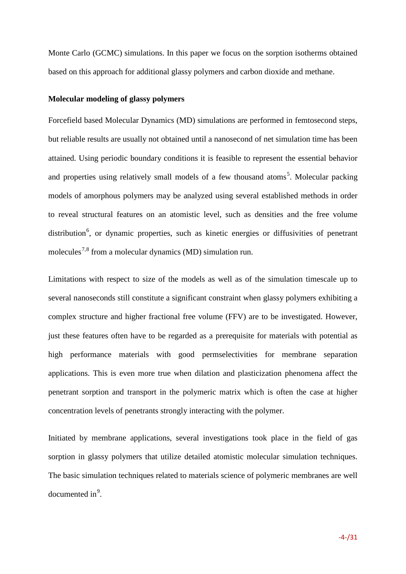Monte Carlo (GCMC) simulations. In this paper we focus on the sorption isotherms obtained based on this approach for additional glassy polymers and carbon dioxide and methane.

#### **Molecular modeling of glassy polymers**

Forcefield based Molecular Dynamics (MD) simulations are performed in femtosecond steps, but reliable results are usually not obtained until a nanosecond of net simulation time has been attained. Using periodic boundary conditions it is feasible to represent the essential behavior and properties using relatively small models of a few thousand atoms<sup>[5](#page-30-0)</sup>. Molecular packing models of amorphous polymers may be analyzed using several established methods in order to reveal structural features on an atomistic level, such as densities and the free volume distribution<sup>[6](#page-30-1)</sup>, or dynamic properties, such as kinetic energies or diffusivities of penetrant molecules<sup>[7](#page-30-2),[8](#page-30-3)</sup> from a molecular dynamics (MD) simulation run.

Limitations with respect to size of the models as well as of the simulation timescale up to several nanoseconds still constitute a significant constraint when glassy polymers exhibiting a complex structure and higher fractional free volume (FFV) are to be investigated. However, just these features often have to be regarded as a prerequisite for materials with potential as high performance materials with good permselectivities for membrane separation applications. This is even more true when dilation and plasticization phenomena affect the penetrant sorption and transport in the polymeric matrix which is often the case at higher concentration levels of penetrants strongly interacting with the polymer.

Initiated by membrane applications, several investigations took place in the field of gas sorption in glassy polymers that utilize detailed atomistic molecular simulation techniques. The basic simulation techniques related to materials science of polymeric membranes are well  $d$ ocumented in $\degree$ .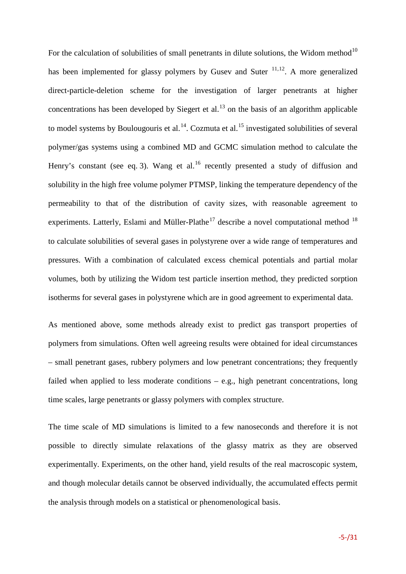For the calculation of solubilities of small penetrants in dilute solutions, the Widom method<sup>[10](#page-31-0)</sup> has been implemented for glassy polymers by Gusev and Suter  $11,12$  $11,12$ . A more generalized direct-particle-deletion scheme for the investigation of larger penetrants at higher concentrations has been developed by Siegert et al.<sup>[13](#page-31-3)</sup> on the basis of an algorithm applicable to model systems by Boulougouris et al.<sup>[14](#page-31-4)</sup>. Cozmuta et al.<sup>[15](#page-31-5)</sup> investigated solubilities of several polymer/gas systems using a combined MD and GCMC simulation method to calculate the Henry's constant (see eq. [3\)](#page-19-0). Wang et al.<sup>[16](#page-31-6)</sup> recently presented a study of diffusion and solubility in the high free volume polymer PTMSP, linking the temperature dependency of the permeability to that of the distribution of cavity sizes, with reasonable agreement to experiments. Latterly, Eslami and Müller-Plathe<sup>[17](#page-31-7)</sup> describe a novel computational method  $18$ to calculate solubilities of several gases in polystyrene over a wide range of temperatures and pressures. With a combination of calculated excess chemical potentials and partial molar volumes, both by utilizing the Widom test particle insertion method, they predicted sorption isotherms for several gases in polystyrene which are in good agreement to experimental data.

As mentioned above, some methods already exist to predict gas transport properties of polymers from simulations. Often well agreeing results were obtained for ideal circumstances – small penetrant gases, rubbery polymers and low penetrant concentrations; they frequently failed when applied to less moderate conditions – e.g., high penetrant concentrations, long time scales, large penetrants or glassy polymers with complex structure.

The time scale of MD simulations is limited to a few nanoseconds and therefore it is not possible to directly simulate relaxations of the glassy matrix as they are observed experimentally. Experiments, on the other hand, yield results of the real macroscopic system, and though molecular details cannot be observed individually, the accumulated effects permit the analysis through models on a statistical or phenomenological basis.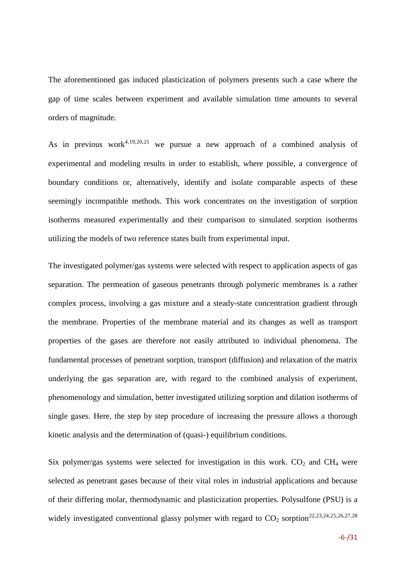The aforementioned gas induced plasticization of polymers presents such a case where the gap of time scales between experiment and available simulation time amounts to several orders of magnitude.

<span id="page-6-3"></span><span id="page-6-2"></span><span id="page-6-0"></span>As in previous work<sup>[4,](#page-3-0)[19,](#page-31-9)[20,](#page-31-10)[21](#page-31-11)</sup> we pursue a new approach of a combined analysis of experimental and modeling results in order to establish, where possible, a convergence of boundary conditions or, alternatively, identify and isolate comparable aspects of these seemingly incompatible methods. This work concentrates on the investigation of sorption isotherms measured experimentally and their comparison to simulated sorption isotherms utilizing the models of two reference states built from experimental input.

The investigated polymer/gas systems were selected with respect to application aspects of gas separation. The permeation of gaseous penetrants through polymeric membranes is a rather complex process, involving a gas mixture and a steady-state concentration gradient through the membrane. Properties of the membrane material and its changes as well as transport properties of the gases are therefore not easily attributed to individual phenomena. The fundamental processes of penetrant sorption, transport (diffusion) and relaxation of the matrix underlying the gas separation are, with regard to the combined analysis of experiment, phenomenology and simulation, better investigated utilizing sorption and dilation isotherms of single gases. Here, the step by step procedure of increasing the pressure allows a thorough kinetic analysis and the determination of (quasi-) equilibrium conditions.

<span id="page-6-1"></span>Six polymer/gas systems were selected for investigation in this work.  $CO<sub>2</sub>$  and  $CH<sub>4</sub>$  were selected as penetrant gases because of their vital roles in industrial applications and because of their differing molar, thermodynamic and plasticization properties. Polysulfone (PSU) is a widely investigated conventional glassy polymer with regard to  $CO_2$  sorption<sup>[22](#page-31-12),[23,](#page-31-13)[24](#page-31-14),[25,](#page-31-15)[26,](#page-31-16)[27,](#page-31-17)[28](#page-31-18)</sup>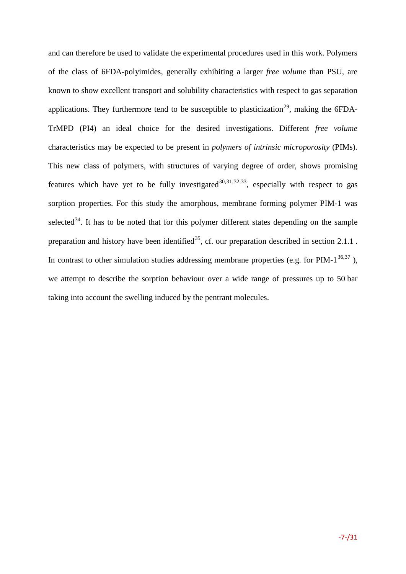<span id="page-7-2"></span><span id="page-7-1"></span><span id="page-7-0"></span>and can therefore be used to validate the experimental procedures used in this work. Polymers of the class of 6FDA-polyimides, generally exhibiting a larger *free volume* than PSU, are known to show excellent transport and solubility characteristics with respect to gas separation applications. They furthermore tend to be susceptible to plasticization<sup>[29](#page-31-19)</sup>, making the 6FDA-TrMPD (PI4) an ideal choice for the desired investigations. Different *free volume* characteristics may be expected to be present in *polymers of intrinsic microporosity* (PIMs). This new class of polymers, with structures of varying degree of order, shows promising features which have yet to be fully investigated<sup>[30,](#page-31-20)[31](#page-31-21),[32](#page-31-22),33</sup>, especially with respect to gas sorption properties. For this study the amorphous, membrane forming polymer PIM-1 was selected<sup>[34](#page-31-6)</sup>. It has to be noted that for this polymer different states depending on the sample preparation and history have been identified<sup>[35](#page-31-7)</sup>, cf. our preparation described in section [2.1.1](#page-8-0). In contrast to other simulation studies addressing membrane properties (e.g. for PIM- $1^{36,37}$  $1^{36,37}$  $1^{36,37}$  $1^{36,37}$  $1^{36,37}$ ), we attempt to describe the sorption behaviour over a wide range of pressures up to 50 bar taking into account the swelling induced by the pentrant molecules.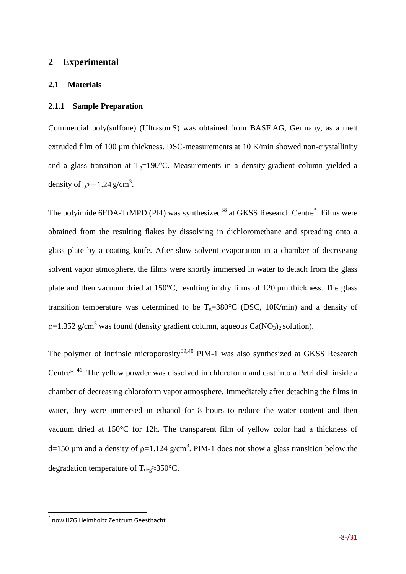#### **2 Experimental**

#### **2.1 Materials**

#### <span id="page-8-0"></span>**2.1.1 Sample Preparation**

Commercial poly(sulfone) (Ultrason S) was obtained from BASF AG, Germany, as a melt extruded film of 100 µm thickness. DSC-measurements at 10 K/min showed non-crystallinity and a glass transition at  $T_g=190^\circ$ C. Measurements in a density-gradient column yielded a density of  $\rho = 1.24$  g/cm<sup>3</sup>.

<span id="page-8-1"></span>The polyimide 6FDA-TrMPD (PI4) was synthesized<sup>[38](#page-31-24)</sup> at GKSS Research Centre<sup>[\\*](#page-8-2)</sup>. Films were obtained from the resulting flakes by dissolving in dichloromethane and spreading onto a glass plate by a coating knife. After slow solvent evaporation in a chamber of decreasing solvent vapor atmosphere, the films were shortly immersed in water to detach from the glass plate and then vacuum dried at  $150^{\circ}$ C, resulting in dry films of  $120 \mu$ m thickness. The glass transition temperature was determined to be  $T_g=380^{\circ}C$  (DSC, 10K/min) and a density of  $p=1.352$  g/cm<sup>3</sup> was found (density gradient column, aqueous Ca(NO<sub>3</sub>)<sub>2</sub> solution).

The polymer of intrinsic microporosity<sup>[39](#page-31-25),[40](#page-31-26)</sup> PIM-1 was also synthesized at GKSS Research Centr[e\\*](#page-8-1) [41.](#page-31-13) The yellow powder was dissolved in chloroform and cast into a Petri dish inside a chamber of decreasing chloroform vapor atmosphere. Immediately after detaching the films in water, they were immersed in ethanol for 8 hours to reduce the water content and then vacuum dried at 150°C for 12h. The transparent film of yellow color had a thickness of d=150 µm and a density of  $p=1.124$  g/cm<sup>3</sup>. PIM-1 does not show a glass transition below the degradation temperature of T<sub>deg</sub>≈350°C.

<span id="page-8-2"></span>now HZG Helmholtz Zentrum Geesthacht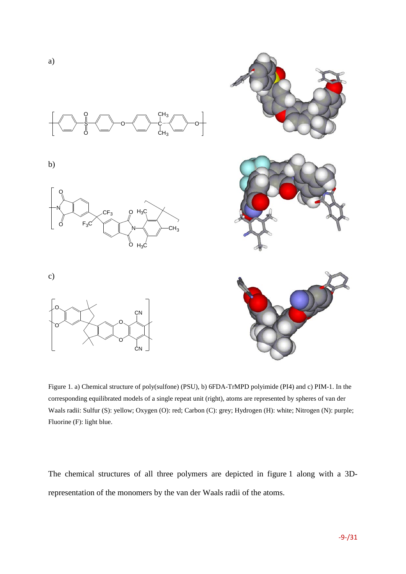

<span id="page-9-0"></span>Figure 1. a) Chemical structure of poly(sulfone) (PSU), b) 6FDA-TrMPD polyimide (PI4) and c) PIM-1. In the corresponding equilibrated models of a single repeat unit (right), atoms are represented by spheres of van der Waals radii: Sulfur (S): yellow; Oxygen (O): red; Carbon (C): grey; Hydrogen (H): white; Nitrogen (N): purple; Fluorine (F): light blue.

The chemical structures of all three polymers are depicted in figure [1](#page-9-0) along with a 3Drepresentation of the monomers by the van der Waals radii of the atoms.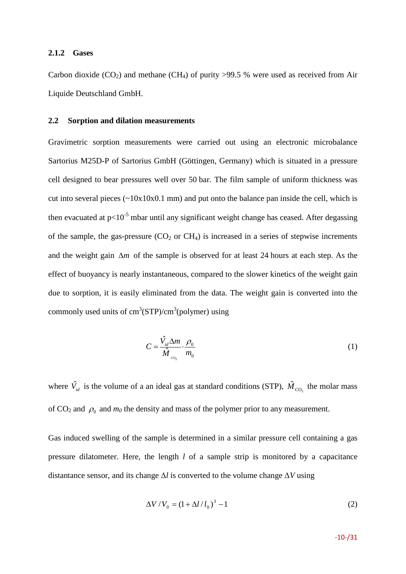#### **2.1.2 Gases**

Carbon dioxide  $(CO_2)$  and methane  $(CH_4)$  of purity >99.5 % were used as received from Air Liquide Deutschland GmbH.

#### **2.2 Sorption and dilation measurements**

Gravimetric sorption measurements were carried out using an electronic microbalance Sartorius M25D-P of Sartorius GmbH (Göttingen, Germany) which is situated in a pressure cell designed to bear pressures well over 50 bar. The film sample of uniform thickness was cut into several pieces  $(\sim 10x10x0.1 \text{ mm})$  and put onto the balance pan inside the cell, which is then evacuated at  $p<10^{-5}$  mbar until any significant weight change has ceased. After degassing of the sample, the gas-pressure  $(CO_2$  or  $CH_4$ ) is increased in a series of stepwise increments and the weight gain ∆*m* of the sample is observed for at least 24 hours at each step. As the effect of buoyancy is nearly instantaneous, compared to the slower kinetics of the weight gain due to sorption, it is easily eliminated from the data. The weight gain is converted into the commonly used units of  $cm^3(STP)/cm^3(polymer)$  using

$$
C = \frac{\hat{V}_{id} \Delta m}{\hat{M}} \cdot \frac{\rho_0}{m_0} \tag{1}
$$

where  $\hat{V}_{id}$  is the volume of a an ideal gas at standard conditions (STP),  $\hat{M}_{CO_2}$  the molar mass of  $CO_2$  and  $\rho_0$  and  $m_0$  the density and mass of the polymer prior to any measurement.

Gas induced swelling of the sample is determined in a similar pressure cell containing a gas pressure dilatometer. Here, the length *l* of a sample strip is monitored by a capacitance distantance sensor, and its change Δ*l* is converted to the volume change Δ*V* using

$$
\Delta V / V_0 = (1 + \Delta l / l_0)^3 - 1
$$
 (2)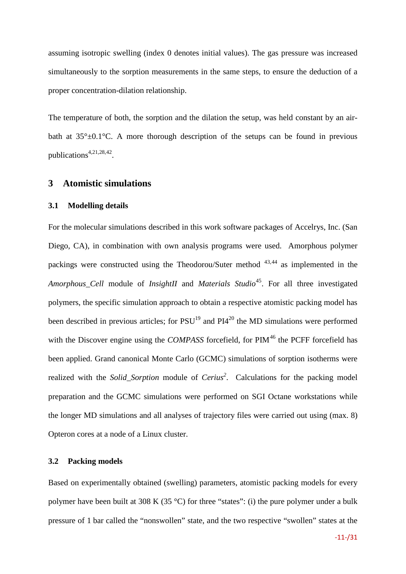assuming isotropic swelling (index 0 denotes initial values). The gas pressure was increased simultaneously to the sorption measurements in the same steps, to ensure the deduction of a proper concentration-dilation relationship.

The temperature of both, the sorption and the dilation the setup, was held constant by an airbath at  $35^{\circ} \pm 0.1^{\circ}$ C. A more thorough description of the setups can be found in previous publications<sup>[4,](#page-3-1)[21,](#page-6-0)[28,](#page-6-1)[42](#page-31-14)</sup>.

#### **3 Atomistic simulations**

#### **3.1 Modelling details**

For the molecular simulations described in this work software packages of Accelrys, Inc. (San Diego, CA), in combination with own analysis programs were used. Amorphous polymer packings were constructed using the Theodorou/Suter method [43](#page-31-15),[44](#page-31-16) as implemented in the *Amorphous\_Cell* module of *InsightII* and *Materials Studio*[45.](#page-31-17) For all three investigated polymers, the specific simulation approach to obtain a respective atomistic packing model has been described in previous articles; for  $PSU<sup>19</sup>$  and  $PI4<sup>20</sup>$  the MD simulations were performed with the Discover engine using the *COMPASS* forcefield, for PIM<sup>[46](#page-31-0)</sup> the PCFF forcefield has been applied. Grand canonical Monte Carlo (GCMC) simulations of sorption isotherms were realized with the *Solid\_Sorption* module of *Cerius<sup>2</sup>* . Calculations for the packing model preparation and the GCMC simulations were performed on SGI Octane workstations while the longer MD simulations and all analyses of trajectory files were carried out using (max. 8) Opteron cores at a node of a Linux cluster.

#### **3.2 Packing models**

Based on experimentally obtained (swelling) parameters, atomistic packing models for every polymer have been built at 308 K (35 °C) for three "states": (i) the pure polymer under a bulk pressure of 1 bar called the "nonswollen" state, and the two respective "swollen" states at the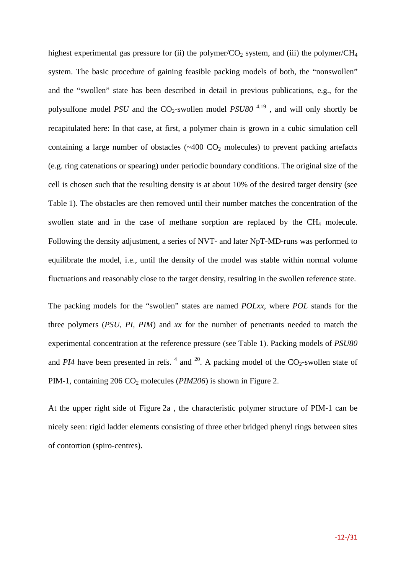highest experimental gas pressure for (ii) the polymer/ $CO<sub>2</sub>$  system, and (iii) the polymer/ $CH<sub>4</sub>$ system. The basic procedure of gaining feasible packing models of both, the "nonswollen" and the "swollen" state has been described in detail in previous publications, e.g., for the polysulfone model *PSU* and the  $CO_2$ -swollen model *PSU80*<sup>[4,](#page-3-0)[19](#page-6-2)</sup>, and will only shortly be recapitulated here: In that case, at first, a polymer chain is grown in a cubic simulation cell containing a large number of obstacles  $(\sim 400 \text{ CO}_2 \text{ molecules})$  to prevent packing artefacts (e.g. ring catenations or spearing) under periodic boundary conditions. The original size of the cell is chosen such that the resulting density is at about 10% of the desired target density (see Table [1\)](#page-14-0). The obstacles are then removed until their number matches the concentration of the swollen state and in the case of methane sorption are replaced by the  $CH<sub>4</sub>$  molecule. Following the density adjustment, a series of NVT- and later NpT-MD-runs was performed to equilibrate the model, i.e., until the density of the model was stable within normal volume fluctuations and reasonably close to the target density, resulting in the swollen reference state.

The packing models for the "swollen" states are named *POLxx*, where *POL* stands for the three polymers (*PSU, PI, PIM*) and *xx* for the number of penetrants needed to match the experimental concentration at the reference pressure (see Table [1\)](#page-14-0). Packing models of *PSU80* and *PI[4](#page-3-0)* have been presented in refs.  $4$  and  $20$ . A packing model of the CO<sub>2</sub>-swollen state of PIM-1, containing 206 CO<sub>2</sub> molecules (*PIM206*) is shown in Figure [2.](#page-13-0)

At the upper right side of Figure [2a](#page-13-0) , the characteristic polymer structure of PIM-1 can be nicely seen: rigid ladder elements consisting of three ether bridged phenyl rings between sites of contortion (spiro-centres).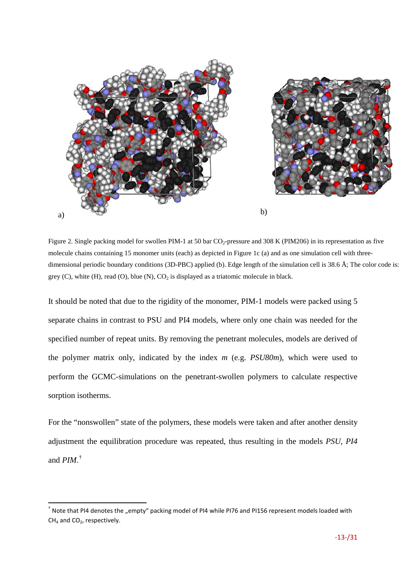

<span id="page-13-0"></span>Figure 2. Single packing model for swollen PIM-1 at 50 bar CO<sub>2</sub>-pressure and 308 K (PIM206) in its representation as five molecule chains containing 15 monomer units (each) as depicted in Figure [1c](#page-9-0) (a) and as one simulation cell with threedimensional periodic boundary conditions (3D-PBC) applied (b). Edge length of the simulation cell is 38.6 Å; The color code is: grey (C), white (H), read (O), blue (N),  $CO<sub>2</sub>$  is displayed as a triatomic molecule in black.

It should be noted that due to the rigidity of the monomer, PIM-1 models were packed using 5 separate chains in contrast to PSU and PI4 models, where only one chain was needed for the specified number of repeat units. By removing the penetrant molecules, models are derived of the polymer *m*atrix only, indicated by the index *m* (e.g. *PSU80m*), which were used to perform the GCMC-simulations on the penetrant-swollen polymers to calculate respective sorption isotherms.

For the "nonswollen" state of the polymers, these models were taken and after another density adjustment the equilibration procedure was repeated, thus resulting in the models *PSU*, *PI4* and *PIM*. [†](#page-13-1)

<span id="page-13-1"></span><sup>&</sup>lt;sup>†</sup> Note that PI4 denotes the "empty" packing model of PI4 while PI76 and PI156 represent models loaded with  $CH<sub>4</sub>$  and  $CO<sub>2</sub>$ , respectively.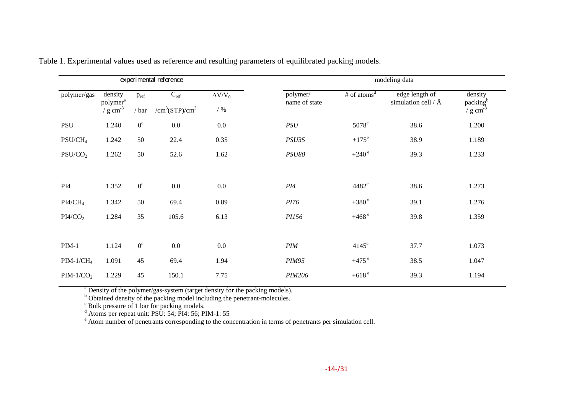|                     |                                               |                      | experimental reference                                     |                          | modeling data                         |                         |                                           |                                                       |  |  |
|---------------------|-----------------------------------------------|----------------------|------------------------------------------------------------|--------------------------|---------------------------------------|-------------------------|-------------------------------------------|-------------------------------------------------------|--|--|
| polymer/gas         | density<br>polymer <sup>a</sup><br>$/ g cm-3$ | $p_{ref}$<br>$/$ bar | $C_{\text{ref}}$<br>/cm <sup>3</sup> (STP)/cm <sup>3</sup> | $\Delta V/V_0$<br>/ $\%$ | polymer/<br>name of state             | # of atoms <sup>d</sup> | edge length of<br>simulation cell / $\AA$ | density<br>packing <sup>b</sup><br>/ $g \text{ cm}^3$ |  |  |
| <b>PSU</b>          | 1.240                                         | 0 <sup>c</sup>       | 0.0                                                        | $0.0\,$                  | PSU                                   | $5078$ <sup>c</sup>     | 38.6                                      | 1.200                                                 |  |  |
| $PSU/CH_4$          | 1.242                                         | 50                   | 22.4                                                       | 0.35                     | <b>PSU35</b>                          | $+175^e$                | 38.9                                      | 1.189                                                 |  |  |
| PSU/CO <sub>2</sub> | 1.262                                         | 50                   | 52.6                                                       | 1.62                     | <b>PSU80</b>                          | $+240^{\circ}$          | 39.3                                      | 1.233                                                 |  |  |
| PI <sub>4</sub>     | 1.352                                         | $0^{\circ}$          | 0.0                                                        | $0.0\,$                  | PI4                                   | $4482^{\circ}$          | 38.6                                      | 1.273                                                 |  |  |
| $PI4/CH_4$          | 1.342                                         | 50                   | 69.4                                                       | 0.89                     | PI76                                  | $+380$ <sup>e</sup>     | 39.1                                      | 1.276                                                 |  |  |
| PI4/CO <sub>2</sub> | 1.284                                         | 35                   | 105.6                                                      | 6.13                     | PI156                                 | $+468$ <sup>e</sup>     | 39.8                                      | 1.359                                                 |  |  |
| $PIM-1$             | 1.124                                         | $0^{\circ}$          | $0.0\,$                                                    | $0.0\,$                  | $\mathcal{P} \mathcal{I} \mathcal{M}$ | $4145^{\circ}$          | 37.7                                      | 1.073                                                 |  |  |
| $PIM-1/CH_4$        | 1.091                                         | 45                   | 69.4                                                       | 1.94                     | <b>PIM95</b>                          | $+475$ <sup>e</sup>     | 38.5                                      | 1.047                                                 |  |  |
| $PIM-1/CO2$         | 1.229                                         | 45                   | 150.1                                                      | 7.75                     | <b>PIM206</b>                         | $+618$ <sup>e</sup>     | 39.3                                      | 1.194                                                 |  |  |

Table 1. Experimental values used as reference and resulting parameters of equilibrated packing models.

<span id="page-14-0"></span><sup>a</sup> Density of the polymer/gas-system (target density for the packing models).<br><sup>b</sup> Obtained density of the packing model including the penetrant-molecules.<br><sup>c</sup> Bulk pressure of 1 bar for packing models.<br>d Atoms per repeat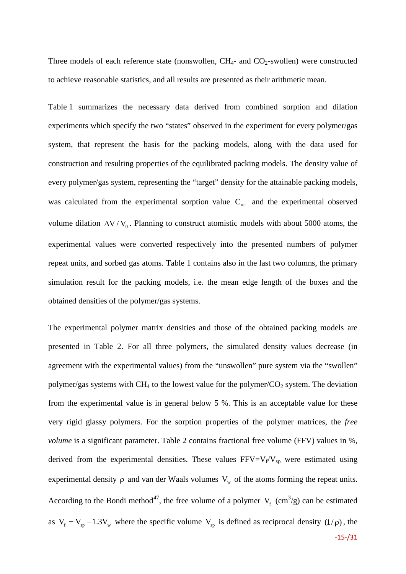Three models of each reference state (nonswollen,  $CH<sub>4</sub>$ - and  $CO<sub>2</sub>$ -swollen) were constructed to achieve reasonable statistics, and all results are presented as their arithmetic mean.

Table [1](#page-14-0) summarizes the necessary data derived from combined sorption and dilation experiments which specify the two "states" observed in the experiment for every polymer/gas system, that represent the basis for the packing models, along with the data used for construction and resulting properties of the equilibrated packing models. The density value of every polymer/gas system, representing the "target" density for the attainable packing models, was calculated from the experimental sorption value  $C_{ref}$  and the experimental observed volume dilation  $\Delta V/V_0$ . Planning to construct atomistic models with about 5000 atoms, the experimental values were converted respectively into the presented numbers of polymer repeat units, and sorbed gas atoms. Table 1 contains also in the last two columns, the primary simulation result for the packing models, i.e. the mean edge length of the boxes and the obtained densities of the polymer/gas systems.

The experimental polymer matrix densities and those of the obtained packing models are presented in Table [2.](#page-18-0) For all three polymers, the simulated density values decrease (in agreement with the experimental values) from the "unswollen" pure system via the "swollen" polymer/gas systems with  $CH_4$  to the lowest value for the polymer/ $CO_2$  system. The deviation from the experimental value is in general below 5 %. This is an acceptable value for these very rigid glassy polymers. For the sorption properties of the polymer matrices, the *free volume* is a significant parameter. Table [2](#page-18-0) contains fractional free volume (FFV) values in %, derived from the experimental densities. These values  $FFV=V_f/V_{sp}$  were estimated using experimental density  $\rho$  and van der Waals volumes  $V_w$  of the atoms forming the repeat units. According to the Bondi method<sup>[47](#page-31-27)</sup>, the free volume of a polymer  $V_f$  (cm<sup>3</sup>/g) can be estimated as  $V_f = V_{sp} - 1.3V_w$  where the specific volume  $V_{sp}$  is defined as reciprocal density (1/ $\rho$ ), the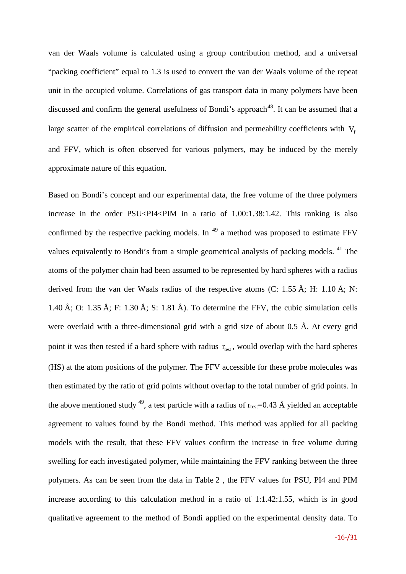van der Waals volume is calculated using a group contribution method, and a universal "packing coefficient" equal to 1.3 is used to convert the van der Waals volume of the repeat unit in the occupied volume. Correlations of gas transport data in many polymers have been discussed and confirm the general usefulness of Bondi's approach<sup>48</sup>. It can be assumed that a large scatter of the empirical correlations of diffusion and permeability coefficients with  $V_f$ and FFV, which is often observed for various polymers, may be induced by the merely approximate nature of this equation.

<span id="page-16-0"></span>Based on Bondi's concept and our experimental data, the free volume of the three polymers increase in the order PSU<PI4<PIM in a ratio of 1.00:1.38:1.42. This ranking is also confirmed by the respective packing models. In  $49$  a method was proposed to estimate FFV values equivalently to Bondi's from a simple geometrical analysis of packing models. <sup>41</sup> The atoms of the polymer chain had been assumed to be represented by hard spheres with a radius derived from the van der Waals radius of the respective atoms (C: 1.55 Å; H: 1.10 Å; N: 1.40 Å; O: 1.35 Å; F: 1.30 Å; S: 1.81 Å). To determine the FFV, the cubic simulation cells were overlaid with a three-dimensional grid with a grid size of about 0.5 Å. At every grid point it was then tested if a hard sphere with radius  $r_{\text{test}}$ , would overlap with the hard spheres (HS) at the atom positions of the polymer. The FFV accessible for these probe molecules was then estimated by the ratio of grid points without overlap to the total number of grid points. In the above mentioned study <sup>49</sup>, a test particle with a radius of  $r_{test}=0.43 \text{ Å}$  yielded an acceptable agreement to values found by the Bondi method. This method was applied for all packing models with the result, that these FFV values confirm the increase in free volume during swelling for each investigated polymer, while maintaining the FFV ranking between the three polymers. As can be seen from the data in Table [2](#page-18-0) , the FFV values for PSU, PI4 and PIM increase according to this calculation method in a ratio of 1:1.42:1.55, which is in good qualitative agreement to the method of Bondi applied on the experimental density data. To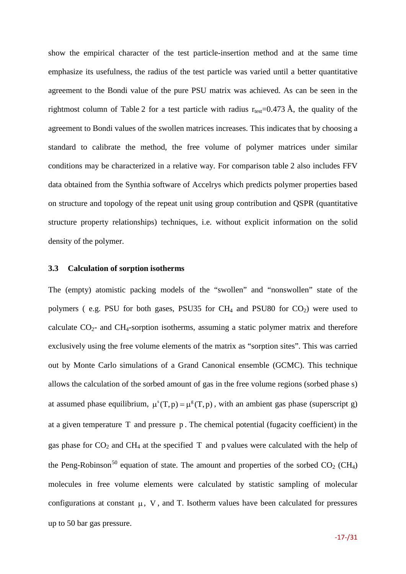show the empirical character of the test particle-insertion method and at the same time emphasize its usefulness, the radius of the test particle was varied until a better quantitative agreement to the Bondi value of the pure PSU matrix was achieved. As can be seen in the rightmost column of Table [2](#page-18-0) for a test particle with radius  $r_{test}=0.473 \text{ Å}$ , the quality of the agreement to Bondi values of the swollen matrices increases. This indicates that by choosing a standard to calibrate the method, the free volume of polymer matrices under similar conditions may be characterized in a relative way. For comparison table [2](#page-18-0) also includes FFV data obtained from the Synthia software of Accelrys which predicts polymer properties based on structure and topology of the repeat unit using group contribution and QSPR (quantitative structure property relationships) techniques, i.e. without explicit information on the solid density of the polymer.

#### **3.3 Calculation of sorption isotherms**

The (empty) atomistic packing models of the "swollen" and "nonswollen" state of the polymers (e.g. PSU for both gases, PSU35 for  $CH_4$  and PSU80 for  $CO_2$ ) were used to calculate  $CO_{2}$ - and  $CH_4$ -sorption isotherms, assuming a static polymer matrix and therefore exclusively using the free volume elements of the matrix as "sorption sites". This was carried out by Monte Carlo simulations of a Grand Canonical ensemble (GCMC). This technique allows the calculation of the sorbed amount of gas in the free volume regions (sorbed phase s) at assumed phase equilibrium,  $\mu^{s}(T,p) = \mu^{g}(T,p)$ , with an ambient gas phase (superscript g) at a given temperature T and pressure p . The chemical potential (fugacity coefficient) in the gas phase for  $CO_2$  and  $CH_4$  at the specified T and p values were calculated with the help of the Peng-Robinson<sup>[50](#page-31-22)</sup> equation of state. The amount and properties of the sorbed  $CO<sub>2</sub> (CH<sub>4</sub>)$ molecules in free volume elements were calculated by statistic sampling of molecular configurations at constant  $\mu$ , V, and T. Isotherm values have been calculated for pressures up to 50 bar gas pressure.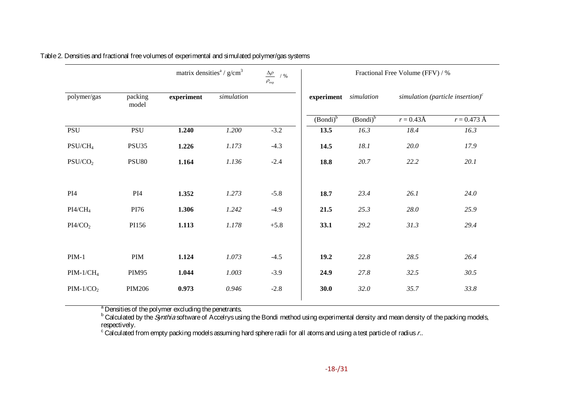|                     |                  | matrix densities <sup><math>a</math></sup> / $g/cm3$ |            | $\Delta \rho$ /%<br>$\rho_{\text{exp}}$ | Fractional Free Volume (FFV) / % |             |                       |                                                     |  |
|---------------------|------------------|------------------------------------------------------|------------|-----------------------------------------|----------------------------------|-------------|-----------------------|-----------------------------------------------------|--|
| polymer/gas         | packing<br>model | experiment                                           | simulation |                                         | experiment simulation            |             |                       | simulation (particle insertion) $\int$ <sup>c</sup> |  |
|                     |                  |                                                      |            |                                         | $(Bondi)^b$                      | $(Bondi)^b$ | $r = 0.43 \text{\AA}$ | $r = 0.473 \text{ Å}$                               |  |
| PSU                 | PSU              | 1.240                                                | 1.200      | $-3.2$                                  | 13.5                             | 16.3        | 18.4                  | 16.3                                                |  |
| $PSU/CH_4$          | PSU35            | 1.226                                                | 1.173      | $-4.3$                                  | 14.5                             | 18.1        | 20.0                  | 17.9                                                |  |
| PSU/CO <sub>2</sub> | <b>PSU80</b>     | 1.164                                                | 1.136      | $-2.4$                                  | 18.8                             | 20.7        | 22.2                  | 20.1                                                |  |
|                     |                  |                                                      |            |                                         |                                  |             |                       |                                                     |  |
| PI4                 | PI <sub>4</sub>  | 1.352                                                | 1.273      | $-5.8$                                  | 18.7                             | 23.4        | 26.1                  | 24.0                                                |  |
| $PI4/CH_4$          | PI76             | 1.306                                                | 1.242      | $-4.9$                                  | 21.5                             | 25.3        | 28.0                  | 25.9                                                |  |
| PI4/CO <sub>2</sub> | PI156            | 1.113                                                | 1.178      | $+5.8$                                  | 33.1                             | 29.2        | 31.3                  | 29.4                                                |  |
|                     |                  |                                                      |            |                                         |                                  |             |                       |                                                     |  |
| $PIM-1$             | PIM              | 1.124                                                | 1.073      | $-4.5$                                  | 19.2                             | 22.8        | 28.5                  | 26.4                                                |  |
| $PIM-1/CH_4$        | <b>PIM95</b>     | 1.044                                                | 1.003      | $-3.9$                                  | 24.9                             | 27.8        | 32.5                  | 30.5                                                |  |
| $PIM-1/CO2$         | <b>PIM206</b>    | 0.973                                                | 0.946      | $-2.8$                                  | 30.0                             | 32.0        | 35.7                  | 33.8                                                |  |
|                     |                  |                                                      |            |                                         |                                  |             |                       |                                                     |  |

Table 2. Densities and fractional free volumes of experimental and simulated polymer/gas systems

<span id="page-18-0"></span> $\overline{a}$  Densities of the polymer excluding the penetrants.

 $^{\rm b}$  Calculated by the *Synthia* software of Accelrys using the Bondi method using experimental density and mean density of the packing models, respectively.

 $^{\rm c}$  Calculated from empty packing models assuming hard sphere radii for all atoms and using a test particle of radius  $r$ ..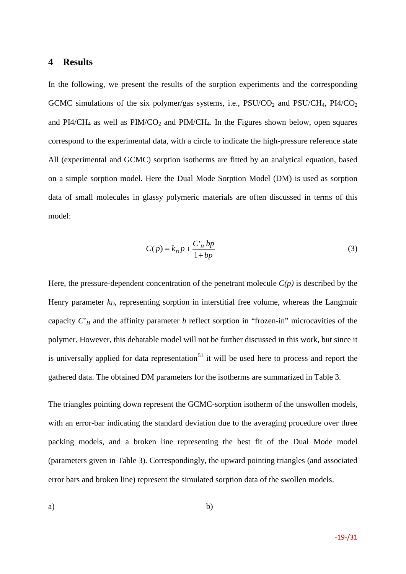#### **4 Results**

In the following, we present the results of the sorption experiments and the corresponding GCMC simulations of the six polymer/gas systems, i.e.,  $PSU/CO<sub>2</sub>$  and  $PSU/CH<sub>4</sub>$ ,  $PI4/CO<sub>2</sub>$ and  $PI4/CH_4$  as well as  $PIM/CO_2$  and  $PIM/CH_4$ . In the Figures shown below, open squares correspond to the experimental data, with a circle to indicate the high-pressure reference state All (experimental and GCMC) sorption isotherms are fitted by an analytical equation, based on a simple sorption model. Here the Dual Mode Sorption Model (DM) is used as sorption data of small molecules in glassy polymeric materials are often discussed in terms of this model:

<span id="page-19-0"></span>
$$
C(p) = kD p + \frac{C_H bp}{1 + bp}
$$
 (3)

Here, the pressure-dependent concentration of the penetrant molecule  $C(p)$  is described by the Henry parameter  $k_D$ , representing sorption in interstitial free volume, whereas the Langmuir capacity  $C<sub>H</sub>$  and the affinity parameter *b* reflect sorption in "frozen-in" microcavities of the polymer. However, this debatable model will not be further discussed in this work, but since it is universally applied for data representation<sup>[51](#page-31-5)</sup> it will be used here to process and report the gathered data. The obtained DM parameters for the isotherms are summarized in Table [3.](#page-24-0)

The triangles pointing down represent the GCMC-sorption isotherm of the unswollen models, with an error-bar indicating the standard deviation due to the averaging procedure over three packing models, and a broken line representing the best fit of the Dual Mode model (parameters given in Table [3\)](#page-24-0). Correspondingly, the upward pointing triangles (and associated error bars and broken line) represent the simulated sorption data of the swollen models.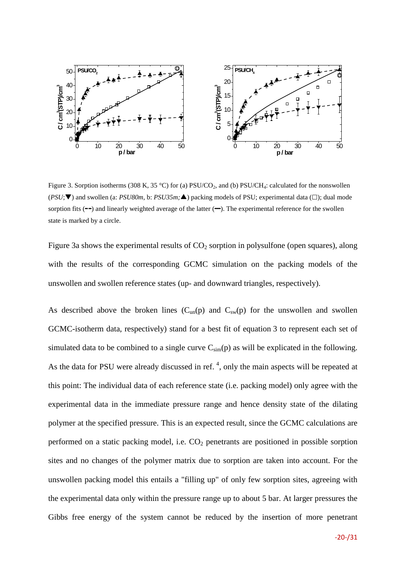

<span id="page-20-0"></span>Figure 3. Sorption isotherms (308 K, 35 °C) for (a)  $PSU/CO_2$ , and (b)  $PSU/CH_4$ : calculated for the nonswollen  $(PSU; \blacktriangledown)$  and swollen (a: *PSU80m*, b: *PSU35m;* $\blacktriangle)$  packing models of PSU; experimental data ( $\square$ ); dual mode sorption fits  $(-)$  and linearly weighted average of the latter  $(-)$ . The experimental reference for the swollen state is marked by a circle.

Figure [3a](#page-20-0) shows the experimental results of  $CO<sub>2</sub>$  sorption in polysulfone (open squares), along with the results of the corresponding GCMC simulation on the packing models of the unswollen and swollen reference states (up- and downward triangles, respectively).

As described above the broken lines  $(C_{un}(p))$  and  $C_{sw}(p)$  for the unswollen and swollen GCMC-isotherm data, respectively) stand for a best fit of equation [3](#page-19-0) to represent each set of simulated data to be combined to a single curve  $C_{sim}(p)$  as will be explicated in the following. As the data for PSU were already discussed in ref.  $4$ [,](#page-3-0) only the main aspects will be repeated at this point: The individual data of each reference state (i.e. packing model) only agree with the experimental data in the immediate pressure range and hence density state of the dilating polymer at the specified pressure. This is an expected result, since the GCMC calculations are performed on a static packing model, i.e.  $CO<sub>2</sub>$  penetrants are positioned in possible sorption sites and no changes of the polymer matrix due to sorption are taken into account. For the unswollen packing model this entails a "filling up" of only few sorption sites, agreeing with the experimental data only within the pressure range up to about 5 bar. At larger pressures the Gibbs free energy of the system cannot be reduced by the insertion of more penetrant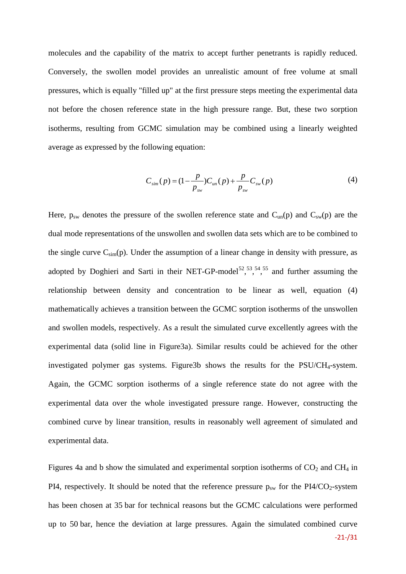molecules and the capability of the matrix to accept further penetrants is rapidly reduced. Conversely, the swollen model provides an unrealistic amount of free volume at small pressures, which is equally "filled up" at the first pressure steps meeting the experimental data not before the chosen reference state in the high pressure range. But, these two sorption isotherms, resulting from GCMC simulation may be combined using a linearly weighted average as expressed by the following equation:

<span id="page-21-0"></span>
$$
C_{\text{sim}}(p) = (1 - \frac{p}{p_{\text{sw}}})C_{\text{un}}(p) + \frac{p}{p_{\text{sw}}}C_{\text{sw}}(p) \tag{4}
$$

Here,  $p_{sw}$  denotes the pressure of the swollen reference state and  $C_{un}(p)$  and  $C_{sw}(p)$  are the dual mode representations of the unswollen and swollen data sets which are to be combined to the single curve  $C_{sim}(p)$ . Under the assumption of a linear change in density with pressure, as adopted by Doghieri and Sarti in their NET-GP-model<sup>[52](#page-31-6)</sup>,<sup>[53,](#page-31-7)[54,](#page-31-8)[55](#page-31-9)</sup> and further assuming the relationship between density and concentration to be linear as well, equation [\(4\)](#page-21-0) mathematically achieves a transition between the GCMC sorption isotherms of the unswollen and swollen models, respectively. As a result the simulated curve excellently agrees with the experimental data (solid line in Figur[e3a](#page-20-0)). Similar results could be achieved for the other investigated polymer gas systems. Figur[e3b](#page-20-0) shows the results for the PSU/CH<sub>4</sub>-system. Again, the GCMC sorption isotherms of a single reference state do not agree with the experimental data over the whole investigated pressure range. However, constructing the combined curve by linear transition, results in reasonably well agreement of simulated and experimental data.

Figures [4a](#page-22-0) and b show the simulated and experimental sorption isotherms of  $CO<sub>2</sub>$  and  $CH<sub>4</sub>$  in PI4, respectively. It should be noted that the reference pressure  $p_{sw}$  for the PI4/CO<sub>2</sub>-system has been chosen at 35 bar for technical reasons but the GCMC calculations were performed up to 50 bar, hence the deviation at large pressures. Again the simulated combined curve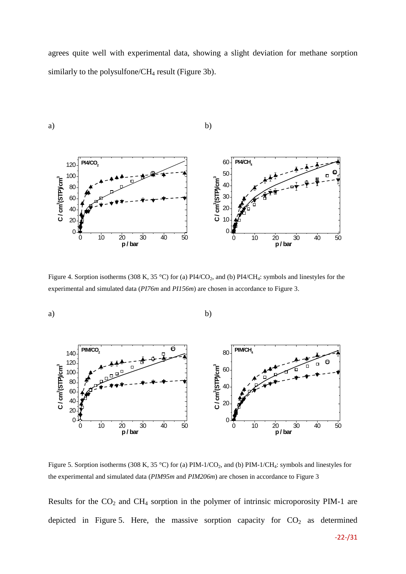agrees quite well with experimental data, showing a slight deviation for methane sorption similarly to the polysulfone/CH<sub>4</sub> result (Figure [3b](#page-20-0)).



<span id="page-22-0"></span>Figure 4. Sorption isotherms (308 K, 35 °C) for (a) PI4/CO<sub>2</sub>, and (b) PI4/CH<sub>4</sub>: symbols and linestyles for the experimental and simulated data (*PI76m* and *PI156m*) are chosen in accordance to Figure [3.](#page-20-0)



<span id="page-22-1"></span>Figure 5. Sorption isotherms (308 K, 35 °C) for (a) PIM-1/CO<sub>2</sub>, and (b) PIM-1/CH<sub>4</sub>: symbols and linestyles for the experimental and simulated data (*PIM95m* and *PIM206m*) are chosen in accordance to Figure [3](#page-20-0)

Results for the  $CO<sub>2</sub>$  and  $CH<sub>4</sub>$  sorption in the polymer of intrinsic microporosity PIM-1 are depicted in Figure [5.](#page-22-1) Here, the massive sorption capacity for  $CO<sub>2</sub>$  as determined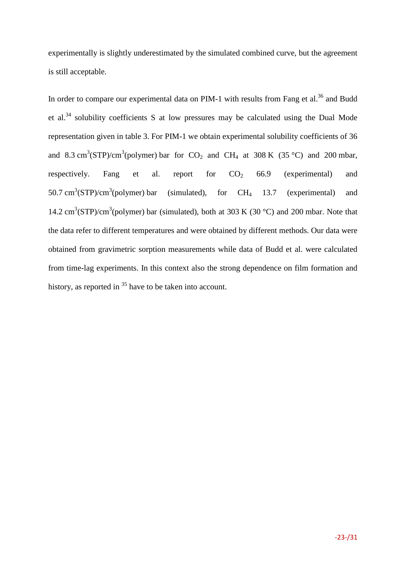experimentally is slightly underestimated by the simulated combined curve, but the agreement is still acceptable.

In order to compare our experimental data on PIM-1 with results from Fang et al.<sup>[36](#page-7-0)</sup> and Budd et al.[34](#page-7-1) solubility coefficients S at low pressures may be calculated using the Dual Mode representation given in table [3.](#page-24-0) For PIM-1 we obtain experimental solubility coefficients of 36 and 8.3 cm<sup>3</sup>(STP)/cm<sup>3</sup>(polymer) bar for  $CO_2$  and  $CH_4$  at 308 K (35 °C) and 200 mbar, respectively. Fang et al. report for  $CO<sub>2</sub>$  66.9 (experimental) and 50.7 cm<sup>3</sup>(STP)/cm<sup>3</sup> (simulated), for  $CH_4$  13.7 (experimental) and 14.2 cm<sup>3</sup>(STP)/cm<sup>3</sup>(polymer) bar (simulated), both at 303 K (30 °C) and 200 mbar. Note that the data refer to different temperatures and were obtained by different methods. Our data were obtained from gravimetric sorption measurements while data of Budd et al. were calculated from time-lag experiments. In this context also the strong dependence on film formation and history, as reported in <sup>35</sup> have to be taken into account.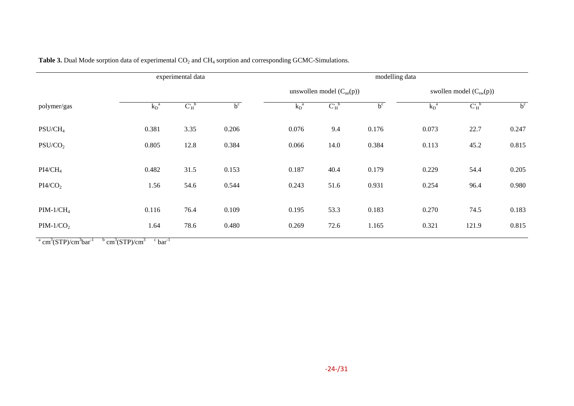| experimental data   |                    |                 |       |                               | modelling data  |       |                             |                 |       |  |
|---------------------|--------------------|-----------------|-------|-------------------------------|-----------------|-------|-----------------------------|-----------------|-------|--|
|                     |                    |                 |       | unswollen model $(C_{un}(p))$ |                 |       | swollen model $(C_{sw}(p))$ |                 |       |  |
| polymer/gas         | $\overline{k_D}^a$ | $C_H^{\bullet}$ | $b^c$ | $k_D^{\ a}$                   | $C_H^{\bullet}$ | $b^c$ | $k_D^{\ a}$                 | $C_H^{\bullet}$ | $b^c$ |  |
| $PSU/CH_4$          | 0.381              | 3.35            | 0.206 | 0.076                         | 9.4             | 0.176 | 0.073                       | 22.7            | 0.247 |  |
| PSU/CO <sub>2</sub> | 0.805              | 12.8            | 0.384 | 0.066                         | 14.0            | 0.384 | 0.113                       | 45.2            | 0.815 |  |
| $PI4/CH_4$          | 0.482              | 31.5            | 0.153 | 0.187                         | 40.4            | 0.179 | 0.229                       | 54.4            | 0.205 |  |
| PI4/CO <sub>2</sub> | 1.56               | 54.6            | 0.544 | 0.243                         | 51.6            | 0.931 | 0.254                       | 96.4            | 0.980 |  |
| $PIM-1/CH4$         | 0.116              | 76.4            | 0.109 | 0.195                         | 53.3            | 0.183 | 0.270                       | 74.5            | 0.183 |  |
| $PIM-1/CO2$         | 1.64               | 78.6            | 0.480 | 0.269                         | 72.6            | 1.165 | 0.321                       | 121.9           | 0.815 |  |

**Table 3.** Dual Mode sorption data of experimental CO<sub>2</sub> and CH<sub>4</sub> sorption and corresponding GCMC-Simulations.

<span id="page-24-0"></span><sup>a</sup> cm<sup>3</sup>(STP)/cm<sup>3</sup>bar<sup>-1</sup> b cm<sup>3</sup>(STP)/cm<sup>3</sup> c bar<sup>-1</sup>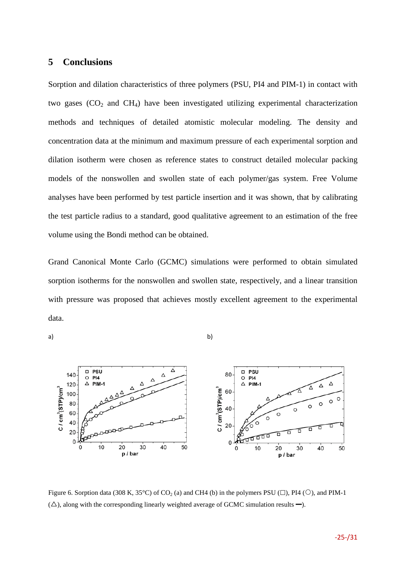#### **5 Conclusions**

Sorption and dilation characteristics of three polymers (PSU, PI4 and PIM-1) in contact with two gases  $(CO<sub>2</sub>$  and  $CH<sub>4</sub>)$  have been investigated utilizing experimental characterization methods and techniques of detailed atomistic molecular modeling. The density and concentration data at the minimum and maximum pressure of each experimental sorption and dilation isotherm were chosen as reference states to construct detailed molecular packing models of the nonswollen and swollen state of each polymer/gas system. Free Volume analyses have been performed by test particle insertion and it was shown, that by calibrating the test particle radius to a standard, good qualitative agreement to an estimation of the free volume using the Bondi method can be obtained.

Grand Canonical Monte Carlo (GCMC) simulations were performed to obtain simulated sorption isotherms for the nonswollen and swollen state, respectively, and a linear transition with pressure was proposed that achieves mostly excellent agreement to the experimental data.





<span id="page-25-0"></span>Figure 6. Sorption data (308 K, 35°C) of CO<sub>2</sub> (a) and CH4 (b) in the polymers PSU ( $\square$ ), PI4 ( $\bigcirc$ ), and PIM-1  $(\triangle)$ , along with the corresponding linearly weighted average of GCMC simulation results –).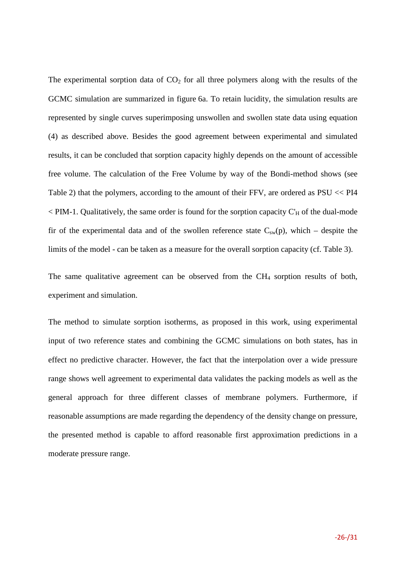The experimental sorption data of  $CO<sub>2</sub>$  for all three polymers along with the results of the GCMC simulation are summarized in figure [6a](#page-25-0). To retain lucidity, the simulation results are represented by single curves superimposing unswollen and swollen state data using equation [\(4\)](#page-21-0) as described above. Besides the good agreement between experimental and simulated results, it can be concluded that sorption capacity highly depends on the amount of accessible free volume. The calculation of the Free Volume by way of the Bondi-method shows (see Table [2\)](#page-18-0) that the polymers, according to the amount of their FFV, are ordered as PSU << PI4  $\leq$  PIM-1. Qualitatively, the same order is found for the sorption capacity C'<sub>H</sub> of the dual-mode fir of the experimental data and of the swollen reference state  $C_{sw}(p)$ , which – despite the limits of the model - can be taken as a measure for the overall sorption capacity (cf. Table [3\)](#page-24-0).

The same qualitative agreement can be observed from the  $CH<sub>4</sub>$  sorption results of both, experiment and simulation.

The method to simulate sorption isotherms, as proposed in this work, using experimental input of two reference states and combining the GCMC simulations on both states, has in effect no predictive character. However, the fact that the interpolation over a wide pressure range shows well agreement to experimental data validates the packing models as well as the general approach for three different classes of membrane polymers. Furthermore, if reasonable assumptions are made regarding the dependency of the density change on pressure, the presented method is capable to afford reasonable first approximation predictions in a moderate pressure range.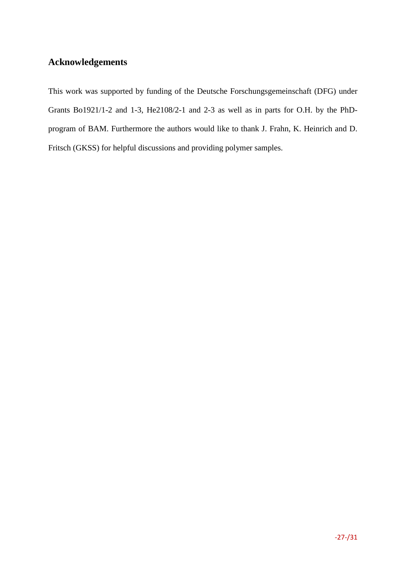## **Acknowledgements**

This work was supported by funding of the Deutsche Forschungsgemeinschaft (DFG) under Grants Bo1921/1-2 and 1-3, He2108/2-1 and 2-3 as well as in parts for O.H. by the PhDprogram of BAM. Furthermore the authors would like to thank J. Frahn, K. Heinrich and D. Fritsch (GKSS) for helpful discussions and providing polymer samples.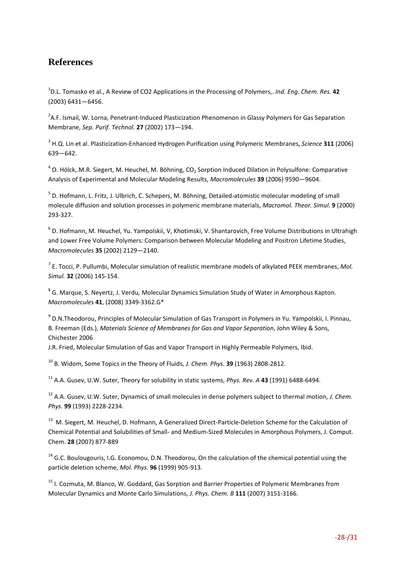## **References**

1 D.L. Tomasko et al., A Review of CO2 Applications in the Processing of Polymers,. *Ind. Eng. Chem. Res.* **42** (2003) 6431―6456.

<sup>2</sup>A.F. Ismail, W. Lorna, Penetrant-Induced Plasticization Phenomenon in Glassy Polymers for Gas Separation Membrane, *Sep. Purif. Technol.* **27** (2002) 173―194.

<sup>3</sup> H.Q. Lin et al. Plasticization-Enhanced Hydrogen Purification using Polymeric Membranes, *Science* **311** (2006) 639―642.

 $4$  O. Hölck,.M.R. Siegert, M. Heuchel, M. Böhning, CO<sub>2</sub> Sorption Induced Dilation in Polysulfone: Comparative Analysis of Experimental and Molecular Modeling Results, *Macromolecules* **39** (2006) 9590―9604.

<sup>5</sup> D. Hofmann, L. Fritz, J. Ulbrich, C. Schepers, M. Böhning, Detailed-atomistic molecular modeling of small molecule diffusion and solution processes in polymeric membrane materials, *Macromol. Theor. Simul.* **9** (2000) 293-327.

<sup>6</sup> D. Hofmann, M. Heuchel, Yu. Yampolskii, V, Khotimski, V. Shantarovich, Free Volume Distributions in Ultrahigh and Lower Free Volume Polymers: Comparison between Molecular Modeling and Positron Lifetime Studies, *Macromolecules* **35** (2002) 2129―2140.

<sup>7</sup> E. Tocci, P. Pullumbi, Molecular simulation of realistic membrane models of alkylated PEEK membranes, *Mol. Simul.* **32** (2006) 145-154.

<sup>8</sup> G. Marque, S. Neyertz, J. Verdu, Molecular Dynamics Simulation Study of Water in Amorphous Kapton. *Macromolecules* **41**, (2008) 3349-3362.G\*

<sup>9</sup> D.N.Theodorou, Principles of Molecular Simulation of Gas Transport in Polymers in Yu. Yampolskii, I. Pinnau, B. Freeman (Eds.), *Materials Science of Membranes for Gas and Vapor Separation*, John Wiley & Sons, Chichester 2006

J.R. Fried, Molecular Simulation of Gas and Vapor Transport in Highly Permeable Polymers, Ibid.

<sup>10</sup> B. Widom, Some Topics in the Theory of Fluids, *J. Chem. Phys.* **39** (1963) 2808-2812.

<sup>11</sup> A.A. Gusev, U.W. Suter, Theory for solubility in static systems, *Phys. Rev. A* **43** (1991) 6488-6494.

<sup>12</sup> A.A. Gusev, U.W. Suter, Dynamics of small molecules in dense polymers subject to thermal motion, *J. Chem. Phys.* **99** (1993) 2228-2234.

<sup>13</sup> M. Siegert, M. Heuchel, D. Hofmann, A Generalized Direct-Particle-Deletion Scheme for the Calculation of Chemical Potential and Solubilities of Small- and Medium-Sized Molecules in Amorphous Polymers, J. Comput. Chem. **28** (2007) 877-889

 $14$  G.C. Boulougouris, I.G. Economou, D.N. Theodorou, On the calculation of the chemical potential using the particle deletion scheme, *Mol. Phys.* **96** (1999) 905-913.

<sup>15</sup> I. Cozmuta, M. Blanco, W. Goddard, Gas Sorption and Barrier Properties of Polymeric Membranes from Molecular Dynamics and Monte Carlo Simulations, *J. Phys. Chem. B* **111** (2007) 3151-3166.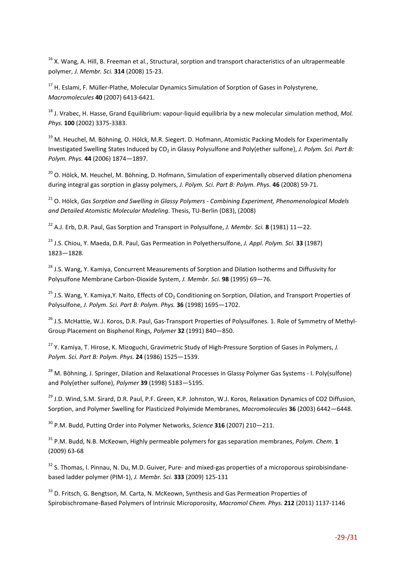<sup>16</sup> X. Wang, A. Hill, B. Freeman et al., Structural, sorption and transport characteristics of an ultrapermeable polymer, *J. Membr. Sci.* **314** (2008) 15-23.

<span id="page-29-0"></span><sup>17</sup> H. Eslami, F. Müller-Plathe, Molecular Dynamics Simulation of Sorption of Gases in Polystyrene, *Macromolecules* **40** (2007) 6413-6421.

<span id="page-29-1"></span><sup>18</sup> J. Vrabec, H. Hasse, Grand Equilibrium: vapour-liquid equilibria by a new molecular simulation method, *Mol. Phys.* **100** (2002) 3375-3383.

<span id="page-29-2"></span><sup>19</sup> M. Heuchel, M. Böhning, O. Hölck, M.R. Siegert. D. Hofmann, Atomistic Packing Models for Experimentally Investigated Swelling States Induced by CO<sub>2</sub> in Glassy Polysulfone and Poly(ether sulfone), *J. Polym. Sci. Part B: Polym. Phys.* **44** (2006) 1874―1897.

<span id="page-29-3"></span><sup>20</sup> O. Hölck, M. Heuchel, M. Böhning, D. Hofmann, Simulation of experimentally observed dilation phenomena during integral gas sorption in glassy polymers, *J. Polym. Sci. Part B: Polym. Phys.* **46** (2008) 59-71.

<sup>21</sup> O. Hölck, *Gas Sorption and Swelling in Glassy Polymers - Combining Experiment, Phenomenological Models and Detailed Atomistic Molecular Modeling*. Thesis, TU-Berlin (D83), (2008)

<sup>22</sup> A.J. Erb, D.R. Paul, Gas Sorption and Transport in Polysulfone, *J. Membr. Sci.* **8** (1981) 11―22.

<sup>23</sup> J.S. Chiou, Y. Maeda, D.R. Paul, Gas Permeation in Polyethersulfone, *J. Appl. Polym. Sci.* **33** (1987) 1823―1828.

<sup>24</sup> J.S. Wang, Y. Kamiya, Concurrent Measurements of Sorption and Dilation Isotherms and Diffusivity for Polysulfone Membrane Carbon-Dioxide System, *J. Membr. Sci.* **98** (1995) 69―76.

<sup>25</sup> J.S. Wang, Y. Kamiva, Y. Naito, Effects of CO<sub>2</sub> Conditioning on Sorption, Dilation, and Transport Properties of Polysulfone, *J. Polym. Sci. Part B: Polym. Phys.* **36** (1998) 1695―1702.

<sup>26</sup> J.S. McHattie, W.J. Koros, D.R. Paul, Gas-Transport Properties of Polysulfones. 1. Role of Symmetry of Methyl-Group Placement on Bisphenol Rings, *Polymer* **32** (1991) 840―850.

<sup>27</sup> Y. Kamiya, T. Hirose, K. Mizoguchi, Gravimetric Study of High-Pressure Sorption of Gases in Polymers, *J. Polym. Sci. Part B: Polym. Phys.* **24** (1986) 1525―1539.

<sup>28</sup> M. Böhning, J. Springer, Dilation and Relaxational Processes in Glassy Polymer Gas Systems - I. Poly(sulfone) and Poly(ether sulfone), *Polymer* **39** (1998) 5183―5195.

<sup>29</sup> J.D. Wind, S.M. Sirard, D.R. Paul, P.F. Green, K.P. Johnston, W.J. Koros, Relaxation Dynamics of CO2 Diffusion, Sorption, and Polymer Swelling for Plasticized Polyimide Membranes, *Macromolecules* **36** (2003) 6442―6448.

<sup>30</sup> P.M. Budd, Putting Order into Polymer Networks, *Science* **316** (2007) 210―211.

<sup>31</sup> P.M. Budd, N.B. McKeown, Highly permeable polymers for gas separation membranes, *Polym. Chem*. **1** (2009) 63-68

<sup>32</sup> S. Thomas, I. Pinnau, N. Du, M.D. Guiver, Pure- and mixed-gas properties of a microporous spirobisindanebased ladder polymer (PIM-1), *J. Membr. Sci.* **333** (2009) 125-131

<sup>33</sup> D. Fritsch, G. Bengtson, M. Carta, N. McKeown, Synthesis and Gas Permeation Properties of Spirobischromane-Based Polymers of Intrinsic Microporosity, *Macromol Chem. Phys.* **212** (2011) 1137-1146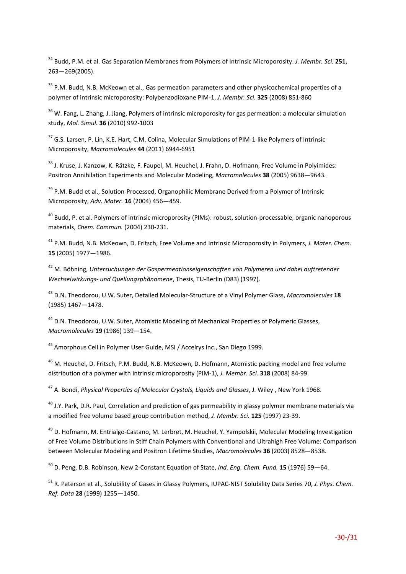<sup>34</sup> Budd, P.M. et al. Gas Separation Membranes from Polymers of Intrinsic Microporosity. *J. Membr. Sci.* **251**, 263―269(2005).

<sup>35</sup> P.M. Budd, N.B. McKeown et al., Gas permeation parameters and other physicochemical properties of a polymer of intrinsic microporosity: Polybenzodioxane PIM-1, *J. Membr. Sci.* **325** (2008) 851-860

<sup>36</sup> W. Fang, L. Zhang, J. Jiang, Polymers of intrinsic microporosity for gas permeation: a molecular simulation study, *Mol. Simul.* **36** (2010) 992-1003

<sup>37</sup> G.S. Larsen, P. Lin, K.E. Hart, C.M. Colina, Molecular Simulations of PIM-1-like Polymers of Intrinsic Microporosity, *Macromolecules* **44** (2011) 6944-6951

<sup>38</sup> J. Kruse, J. Kanzow, K. Rätzke, F. Faupel, M. Heuchel, J. Frahn, D. Hofmann, Free Volume in Polyimides: Positron Annihilation Experiments and Molecular Modeling, *Macromolecules* **38** (2005) 9638―9643.

<span id="page-30-0"></span><sup>39</sup> P.M. Budd et al., Solution-Processed, Organophilic Membrane Derived from a Polymer of Intrinsic Microporosity, *Adv. Mater.* **16** (2004) 456―459.

<sup>40</sup> Budd, P. et al. Polymers of intrinsic microporosity (PIMs): robust, solution-processable, organic nanoporous materials, *Chem. Commun.* (2004) 230-231.

<span id="page-30-1"></span><sup>41</sup> P.M. Budd, N.B. McKeown, D. Fritsch, Free Volume and Intrinsic Microporosity in Polymers, *J. Mater. Chem.* **15** (2005) 1977―1986.

<span id="page-30-2"></span><sup>42</sup> M. Böhning, *Untersuchungen der Gaspermeationseigenschaften von Polymeren und dabei auftretender Wechselwirkungs- und Quellungsphänomene*, Thesis, TU-Berlin (D83) (1997).

<span id="page-30-3"></span><sup>43</sup> D.N. Theodorou, U.W. Suter, Detailed Molecular-Structure of a Vinyl Polymer Glass, *Macromolecules* **18** (1985) 1467―1478.

<span id="page-30-4"></span><sup>44</sup> D.N. Theodorou, U.W. Suter, Atomistic Modeling of Mechanical Properties of Polymeric Glasses, *Macromolecules* **19** (1986) 139―154.

<sup>45</sup> Amorphous Cell in Polymer User Guide, MSI / Accelrys Inc., San Diego 1999.

<sup>46</sup> M. Heuchel, D. Fritsch, P.M. Budd, N.B. McKeown, D. Hofmann, Atomistic packing model and free volume distribution of a polymer with intrinsic microporosity (PIM-1), *J. Membr. Sci.* **318** (2008) 84-99.

<sup>47</sup> A. Bondi, *Physical Properties of Molecular Crystals, Liquids and Glasses*, J. Wiley , New York 1968.

<sup>48</sup> J.Y. Park, D.R. Paul, Correlation and prediction of gas permeability in glassy polymer membrane materials via a modified free volume based group contribution method, *J. Membr. Sci.* **125** (1997) 23-39.

<sup>49</sup> D. Hofmann, M. Entrialgo-Castano, M. Lerbret, M. Heuchel, Y. Yampolskii, Molecular Modeling Investigation of Free Volume Distributions in Stiff Chain Polymers with Conventional and Ultrahigh Free Volume: Comparison between Molecular Modeling and Positron Lifetime Studies, *Macromolecules* **36** (2003) 8528―8538.

<sup>50</sup> D. Peng, D.B. Robinson, New 2-Constant Equation of State, *Ind. Eng. Chem. Fund.* **15** (1976) 59―64.

<sup>51</sup> R. Paterson et al., Solubility of Gases in Glassy Polymers, IUPAC-NIST Solubility Data Series 70, *J. Phys. Chem. Ref. Data* **28** (1999) 1255―1450.